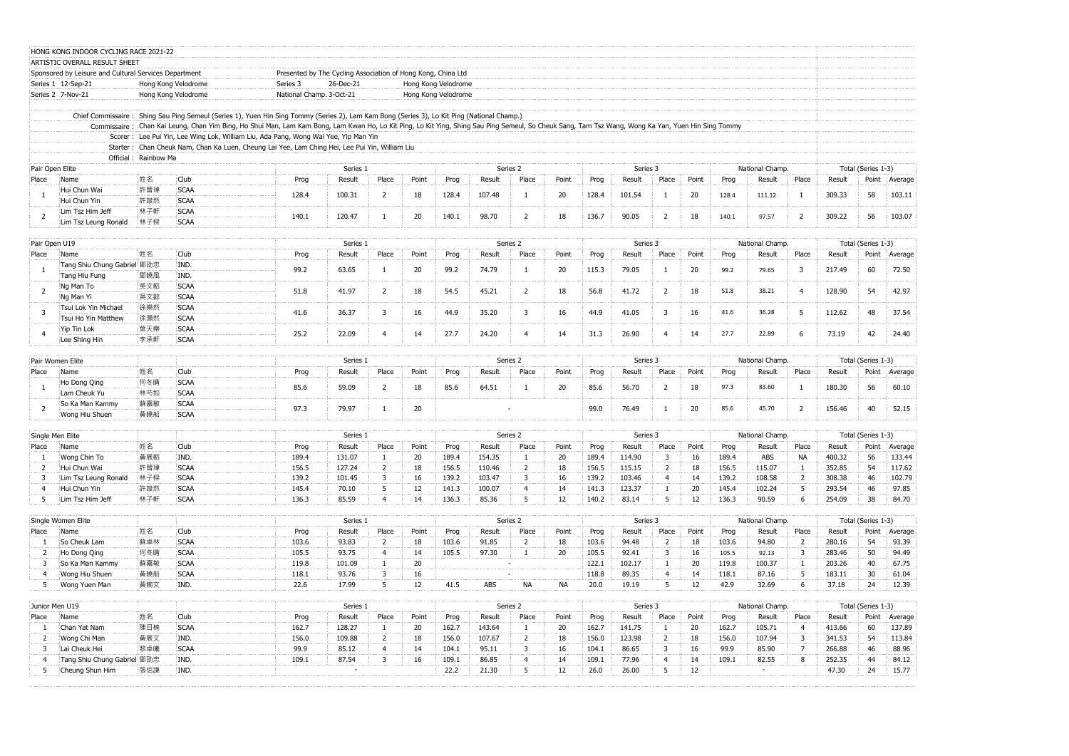|                | ARTISTIC OVERALL RESULT SHEET<br>Sponsored by Leisure and Cultural Services Department |                      |                     |                                                                                                                                                                                                    |          |                         |          |                     |        |                |       |          |          |                |                 |                    |                 |                |                    |                    |                 |
|----------------|----------------------------------------------------------------------------------------|----------------------|---------------------|----------------------------------------------------------------------------------------------------------------------------------------------------------------------------------------------------|----------|-------------------------|----------|---------------------|--------|----------------|-------|----------|----------|----------------|-----------------|--------------------|-----------------|----------------|--------------------|--------------------|-----------------|
|                | Series 1 12-Sep-21                                                                     |                      | Hong Kong Velodrome | Presented by The Cycling Association of Hong Kong, China Ltd<br>Series 3<br>26-Dec-21<br>Hong Kong Velodrome                                                                                       |          |                         |          |                     |        |                |       |          |          |                |                 |                    |                 |                |                    |                    |                 |
|                | Series 2 7-Nov-21                                                                      |                      | Hong Kong Velodrome | National Champ. 3-Oct-21                                                                                                                                                                           |          |                         |          | Hong Kong Velodrome |        |                |       |          |          |                |                 |                    |                 |                |                    |                    |                 |
|                |                                                                                        |                      |                     | Chief Commissaire: Shing Sau Ping Semeul (Series 1), Yuen Hin Sing Tommy (Series 2), Lam Kam Bong (Series 3), Lo Kit Ping (National Champ.)                                                        |          |                         |          |                     |        |                |       |          |          |                |                 |                    |                 |                |                    |                    |                 |
|                |                                                                                        |                      |                     | Commissaire: Chan Kai Leung, Chan Yim Bing, Ho Shui Man, Lam Kam Bong, Lam Kwan Ho, Lo Kit Ping, Lo Kit Ying, Shing Sau Ping Semeul, So Cheuk Sang, Tam Tsz Wang, Wong Ka Yan, Yuen Hin Sing Tommy |          |                         |          |                     |        |                |       |          |          |                |                 |                    |                 |                |                    |                    |                 |
|                |                                                                                        |                      |                     | Scorer: Lee Pui Yin, Lee Wing Lok, William Liu, Ada Pang, Wong Wai Yee, Yip Man Yin                                                                                                                |          |                         |          |                     |        |                |       |          |          |                |                 |                    |                 |                |                    |                    |                 |
|                |                                                                                        |                      |                     | Starter: Chan Cheuk Nam, Chan Ka Luen, Cheung Lai Yee, Lam Ching Hei, Lee Pui Yin, William Liu                                                                                                     |          |                         |          |                     |        |                |       |          |          |                |                 |                    |                 |                |                    |                    |                 |
|                |                                                                                        | Official: Rainbow Ma |                     |                                                                                                                                                                                                    |          |                         |          |                     |        |                |       |          |          |                |                 |                    |                 |                |                    |                    |                 |
|                | Pair Open Elite                                                                        |                      |                     |                                                                                                                                                                                                    | Series 1 |                         |          |                     |        | Series 2       |       | Series 3 |          |                |                 |                    | National Champ. |                | Total (Series 1-3) |                    |                 |
| Place          | Name                                                                                   | 性名                   | Club                | Prog                                                                                                                                                                                               | Result   | Place                   | Point    | Prog                | Result | Place          | Point | Prog     | Result   | Place          | Point           | Prog               | Result          | Place          | Result             |                    | Point   Average |
|                | Hui Chun Wai                                                                           | 許晉瑋                  | <b>SCAA</b>         | 128.4                                                                                                                                                                                              | 100.31   | $\overline{2}$          | 18       | 128.4               | 107.48 | $\mathbf{1}$   | 20    | 128.4    | 101.54   |                | 20              | 128.4              | 111.12          |                | 309.33             | 58                 | 103.11          |
|                | Hui Chun Yin                                                                           | 許竣然                  | SCAA                |                                                                                                                                                                                                    |          |                         |          |                     |        |                |       |          |          |                |                 |                    |                 |                |                    |                    |                 |
| $\overline{2}$ | Lim Tsz Him Jeff                                                                       | 林子軒                  | SCAA                | 140.1                                                                                                                                                                                              | 120.47   | 1                       | 20       | 140.1               | 98.70  | 2              | 18    | 136.7    | 90.05    | 2              | 18              | 140.1              | 97.57           | $\overline{2}$ | 309.22             | 56                 | 103.07          |
|                | Lim Tsz Leung Ronald                                                                   | :林子樑                 | <b>SCAA</b>         |                                                                                                                                                                                                    |          |                         |          |                     |        |                |       |          |          |                |                 |                    |                 |                |                    |                    |                 |
|                | Pair Open U19                                                                          |                      |                     |                                                                                                                                                                                                    | Series 1 |                         | Series 2 |                     |        | Series 3       |       |          |          |                | National Champ. | Total (Series 1-3) |                 |                |                    |                    |                 |
| Place          | Name                                                                                   | 姓名                   | Club                | Prog                                                                                                                                                                                               | Result   | Place                   | Point    | Prog                | Result | Place          | Point | Prog     | Result   | Place          | Point           | Prog               | Result          | Place          | Result             |                    | Point Average   |
|                | Tang Shiu Chung Gabriel 鄧劭忠                                                            |                      | IND.                |                                                                                                                                                                                                    |          |                         |          |                     |        |                |       |          |          |                |                 |                    |                 | 3              |                    |                    |                 |
|                | Tang Hiu Fung                                                                          | 鄧曉風                  | IND.                | 99.2                                                                                                                                                                                               | 63.65    | 1                       | 20       | 99.2                | 74.79  | $\mathbf{1}$   | 20    | 115.3    | 79.05    |                | 20              | 99.2               | 79.65           |                | 217.49             | 60                 | 72.50           |
| $\mathcal{P}$  | Ng Man To                                                                              | 吳文韜                  | SCAA                | 51.8                                                                                                                                                                                               | 41.97    | $2^{\circ}$             | 18       | 54.5                | 45.21  | $\overline{2}$ | 18    | 56.8     | 41.72    | 2              | 18              | 51.8               | 38.21           | 4              | 128.90             | 54                 | 42.97           |
|                | Ng Man Yi                                                                              | 吴文懿                  | <b>SCAA</b>         |                                                                                                                                                                                                    |          |                         |          |                     |        |                |       |          |          |                |                 |                    |                 |                |                    |                    |                 |
| 3              | Tsui Lok Yin Michael                                                                   | 徐樂然                  | <b>SCAA</b>         | 41.6                                                                                                                                                                                               | 36.37    | $\overline{3}$          | 16       | 44.9                | 35.20  | $\overline{3}$ | 16    | 44.9     | 41.05    | $\overline{3}$ | 16              | 41.6               | 36.28           | 5              | 112.62             | 48                 | 37.54           |
|                | Tsui Ho Yin Matthew                                                                    | 徐灝然                  | <b>SCAA</b>         |                                                                                                                                                                                                    |          |                         |          |                     |        |                |       |          |          |                |                 |                    |                 |                |                    |                    |                 |
|                | Yip Tin Lok                                                                            | 葉天樂                  | SCAA                | 25.2                                                                                                                                                                                               |          |                         |          | 27.7                | 24.20  | $\overline{4}$ |       |          |          |                |                 | 27.7               |                 | 6.             |                    |                    |                 |
|                | Lee Shing Hin                                                                          | 李承軒                  | <b>SCAA</b>         |                                                                                                                                                                                                    | 22.09    | $\overline{4}$          | 14       |                     |        |                | 14    | 31.3     | 26.90    |                | 14              |                    | 22.89           |                | 73.19              | 42                 | 24.40           |
|                |                                                                                        |                      |                     |                                                                                                                                                                                                    |          |                         |          |                     |        |                |       |          |          |                |                 |                    |                 |                |                    |                    |                 |
|                | Pair Women Elite                                                                       |                      |                     |                                                                                                                                                                                                    | Series 1 |                         |          |                     |        | Series 2       |       |          | Series 3 |                |                 |                    | National Champ. |                |                    | Total (Series 1-3) |                 |
| Place          | Name                                                                                   | 姓名                   | Club                | Prog                                                                                                                                                                                               | Result   | Place                   | Point    | Prog                | Result | Place          | Point | Prog     | Result   | Place          | Point           | Prog               | Result          | Place          | Result             |                    | Point Average   |
|                | Ho Dong Qing                                                                           | 何冬晴                  | <b>SCAA</b>         | 85.6                                                                                                                                                                                               | 59.09    | $\overline{2}$          | 18       | 85.6                | 64.51  | -1             | 20    | 85.6     | 56.70    | 2              | 18              | 97.3               | 83.60           |                | 180.30             | 56                 | 60.10           |
|                | Lam Cheuk Yu                                                                           | 林芍如                  | SCAA                |                                                                                                                                                                                                    |          |                         |          |                     |        |                |       |          |          |                |                 |                    |                 |                |                    |                    |                 |
| 2              | So Ka Man Kammy                                                                        | <b>蘇嘉敏</b>           | SCAA                | 97.3                                                                                                                                                                                               | 79.97    | 1                       | 20       |                     |        |                |       | 99.0     | 76.49    |                | 20              | 85.6               | 45.70           | <sup>2</sup>   | 156.46             | 40                 | 52.15           |
|                | Wong Hiu Shuen                                                                         | :黃曉船                 | SCAA                |                                                                                                                                                                                                    |          |                         |          |                     |        |                |       |          |          |                |                 |                    |                 |                |                    |                    |                 |
|                | Single Men Elite                                                                       |                      |                     | Series 1                                                                                                                                                                                           |          |                         |          | Series 2            |        |                |       |          | Series 3 |                |                 | National Champ.    |                 |                |                    | Total (Series 1-3) |                 |
| Place          | Name                                                                                   | 姓名                   | Club                | Prog                                                                                                                                                                                               | Result   | Place                   | Point    | Prog                | Result | Place          | Point | Prog     | Result   | Place          | Point           | Prog               | Result          | Place          | Result             | Point              | Average         |
|                | Wong Chin To                                                                           | 黃展韜                  | IND.                | 189.4                                                                                                                                                                                              | 131.07   | 1                       | 20       | 189.4               | 154.35 | $\mathbf{1}$   | 20    | 189.4    | 114.90   | 3              | 16              | 189.4              | ABS             | Na             | 400.32             | 56                 | 133.44          |
|                | Hui Chun Wai                                                                           | 許晉瑋                  | SCAA                | 156.5                                                                                                                                                                                              | 127.24   | $\overline{2}$          | 18       | 156.5               | 110.46 | $\overline{2}$ | 18    | 156.5    | 115.15   | 2              | 18              | 156.5              | 115.07          | $\mathbf{1}$   | 352.85             | 54                 | 117.62          |
|                | Lim Tsz Leung Ronald                                                                   | 林子樑                  | SCAA                | 139.2                                                                                                                                                                                              | 101.45   | $\overline{\mathbf{3}}$ | 16       | 139.2               | 103.47 | $\mathbf{3}$   | 16    | 139.2    | 103.46   |                | 14              | 139.2              | 108.58          | $\overline{2}$ | 308.38             | -46                | 102.79          |
| -4             | Hui Chun Yin                                                                           | 許竣然                  | SCAA                | 145.4                                                                                                                                                                                              | 70.10    | 5                       | 12       | 141.3               | 100.07 | $\overline{4}$ | 14    | 141.3    | 123.37   | $\overline{1}$ | 20              | 145.4              | 102.24          | 5              | 293.54             | 46                 | 97.85           |
|                | Lim Tsz Him Jeff                                                                       | 林子軒                  | <b>SCAA</b>         | 136.3                                                                                                                                                                                              | 85.59    | 4                       | 14       | 136.3               | 85.36  | 5              | 12    | 140.2    | 83.14    | -5             | 12              | 136.3              | 90.59           | -6             | 254.09             | 38                 | 84.70           |
|                | Single Women Elite                                                                     |                      |                     |                                                                                                                                                                                                    | Series 1 |                         |          |                     |        | Series 2       |       |          | Series 3 |                |                 |                    | National Champ. |                |                    | Total (Series 1-3) |                 |
| Place          | Name                                                                                   | 姓名                   | Club                | Prog                                                                                                                                                                                               | Result   | Place                   | Point    | Prog                | Result | Place          | Point | Prog     | Result   | Place          | Point           | Prog               | Result          | Place          | Result             |                    | Point Average   |
|                | So Cheuk Lam                                                                           | 蘇卓林                  | SCAA                | 103.6                                                                                                                                                                                              | 93.83    | $\overline{2}$          | 18       | 103.6               | 91.85  | 2              | 18    | 103.6    | 94.48    | 2              | 18              | 103.6              | 94.80           | $\overline{2}$ | 280.16             | 54                 | 93.39           |
| 2              | Ho Dong Qing                                                                           | 何冬晴                  | SCAA                | 105.5                                                                                                                                                                                              | 93.75    | 4                       | 14       | 105.5               | 97.30  | 1              | 20    | 105.5    | 92.41    | 3              | 16              | 105.5              | 92.13           | $\mathbf{3}$   | 283.46             | 50                 | 94.49           |
| 3              | So Ka Man Kammy                                                                        | 蘇嘉敏                  | <b>SCAA</b>         | 119.8                                                                                                                                                                                              | 101.09   | $\mathbf{1}$            | 20       |                     |        |                |       | 122.1    | 102.17   | -1             | 20              | 119.8              | 100.37          | $\mathbf{1}$   | 203.26             | 40                 | 67.75           |
| 4              | Wong Hiu Shuen                                                                         | 黃曉船                  | <b>SCAA</b>         | 118.1                                                                                                                                                                                              | 93.76    | 3                       | 16       |                     |        |                |       | 118.8    | 89.35    | 4              | 14              | 118.1              | 87.16           | 5              | 183.11             | 30                 | 61.04           |
|                | 5 Wong Yuen Man                                                                        | 黃婉文                  | IND.                | 22.6                                                                                                                                                                                               | 17.99    | 5                       | 12       | 41.5                | ABS    | NA             | NA    | 20.0     | 19.19    | 5              | 12              | 42.9               | 32.69           | 6              | 37.18              | 24                 | 12.39           |
|                |                                                                                        |                      |                     |                                                                                                                                                                                                    |          |                         |          |                     |        |                |       |          |          |                |                 |                    |                 |                |                    |                    |                 |
|                | Junior Men U19                                                                         |                      |                     |                                                                                                                                                                                                    | Series 1 |                         |          |                     |        | Series 2       |       |          | Series 3 |                |                 |                    | National Champ. |                |                    | Total (Series 1-3) |                 |
|                | Name                                                                                   | 姓名                   | Club                | Prog                                                                                                                                                                                               | Result   | Place                   | Point    | Prog                | Result | Place          | Point | Prog     | Result   | Place          | Point           | Prog               | Result          | Place          | Result             |                    | Point Average   |
|                | Chan Yat Nam                                                                           | 陳日楠                  | <b>SCAA</b>         | 162.7                                                                                                                                                                                              | 128.27   | $\mathbf{1}$            | 20       | 162.7               | 143.64 | $\mathbf{1}$   | 20    | 162.7    | 141.75   | -1             | 20              | 162.7              | 105.71          | $\overline{4}$ | 413.66             | 60                 | 137.89          |
|                |                                                                                        |                      |                     |                                                                                                                                                                                                    | 109.88   | $\overline{2}$          | 18       | 156.0               | 107.67 | $\overline{2}$ | 18    | 156.0    | 123.98   | $\overline{2}$ | 18              | 156.0              | 107.94          | 3              | 341.53             | 54                 | 113.84          |
| 2              | Wong Chi Man                                                                           | 黃展文                  | IND.                | 156.0                                                                                                                                                                                              |          |                         |          |                     |        |                |       |          |          |                |                 |                    |                 |                |                    |                    |                 |
| $\mathbf{3}$   | Lai Cheuk Hei                                                                          | 黎卓曦                  | SCAA                | 99.9                                                                                                                                                                                               | 85.12    | $\overline{4}$          | 14       | 104.1               | 95.11  | $\overline{3}$ | 16    | 104.1    | 86.65    | $\overline{3}$ | 16              | 99.9               | 85.90           | $\overline{7}$ | 266.88             | 46                 | 88.96           |
| Place<br>4     | Tang Shiu Chung Gabriel 鄧劭忠                                                            |                      | IND.                | 109.1                                                                                                                                                                                              | 87.54    | $\overline{3}$          | 16       | 109.1               | 86.85  | $\overline{4}$ | 14    | 109.1    | 77.96    | $\overline{4}$ | 14              | 109.1              | 82.55           | 8              | 252.35             | 44                 | 84.12           |